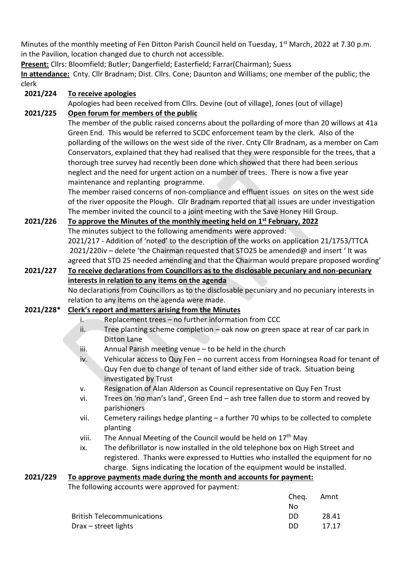Minutes of the monthly meeting of Fen Ditton Parish Council held on Tuesday, 1<sup>st</sup> March, 2022 at 7.30 p.m. in the Pavilion, location changed due to church not accessible.

**Present:** Cllrs: Bloomfield; Butler; Dangerfield; Easterfield; Farrar(Chairman); Suess

**In attendance:** Cnty. Cllr Bradnam; Dist. Cllrs. Cone; Daunton and Williams; one member of the public; the clerk

**2021/224 To receive apologies**

Apologies had been received from Cllrs. Devine (out of village), Jones (out of village)

# **2021/225 Open forum for members of the public**

The member of the public raised concerns about the pollarding of more than 20 willows at 41a Green End. This would be referred to SCDC enforcement team by the clerk. Also of the pollarding of the willows on the west side of the river. Cnty Cllr Bradnam, as a member on Cam Conservators, explained that they had realised that they were responsible for the trees, that a thorough tree survey had recently been done which showed that there had been serious neglect and the need for urgent action on a number of trees. There is now a five year maintenance and replanting programme.

The member raised concerns of non-compliance and effluent issues on sites on the west side of the river opposite the Plough. Cllr Bradnam reported that all issues are under investigation The member invited the council to a joint meeting with the Save Honey Hill Group.

**2021/226 To approve the Minutes of the monthly meeting held on 1st February, 2022** The minutes subject to the following amendments were approved: 2021/217 - Addition of 'noted' to the description of the works on application 21/1753/TTCA 2021/220iv – delete 'the Chairman requested that STO25 be amended@ and insert ' It was agreed that STO 25 needed amending and that the Chairman would prepare proposed wording'

## **2021/227 To receive declarations from Councillors as to the disclosable pecuniary and non-pecuniary interests in relation to any items on the agenda** No declarations from Councillors as to the disclosable pecuniary and no pecuniary interests in

relation to any items on the agenda were made.

# **2021/228\* Clerk's report and matters arising from the Minutes**

- i. Replacement trees no further information from CCC
- ii. Tree planting scheme completion  $-\circ$  oak now on green space at rear of car park in Ditton Lane
- iii. Annual Parish meeting venue to be held in the church
- iv. Vehicular access to Quy Fen no current access from Horningsea Road for tenant of Quy Fen due to change of tenant of land either side of track. Situation being investigated by Trust
- v. Resignation of Alan Alderson as Council representative on Quy Fen Trust
- vi. Trees on 'no man's land', Green End ash tree fallen due to storm and reoved by parishioners
- vii. Cemetery railings hedge planting a further 70 whips to be collected to complete planting
- viii. The Annual Meeting of the Council would be held on  $17<sup>th</sup>$  May
- ix. The defibrillator is now installed in the old telephone box on High Street and registered. Thanks were expressed to Hutties who installed the equipment for no charge. Signs indicating the location of the equipment would be installed.

# **2021/229 To approve payments made during the month and accounts for payment:**

The following accounts were approved for payment:

|                                   | Cheg. | Amnt  |
|-----------------------------------|-------|-------|
|                                   | Nο    |       |
| <b>British Telecommunications</b> | DD.   | 28.41 |
| Drax – street lights              | DD.   | 17.17 |
|                                   |       |       |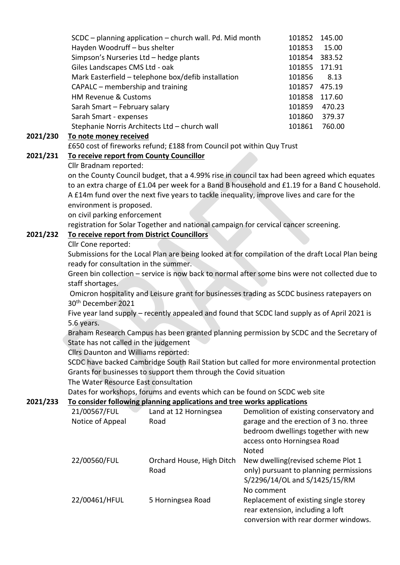| SCDC - planning application - church wall. Pd. Mid month | 101852 | 145.00 |
|----------------------------------------------------------|--------|--------|
| Hayden Woodruff - bus shelter                            | 101853 | 15.00  |
| Simpson's Nurseries Ltd - hedge plants                   | 101854 | 383.52 |
| Giles Landscapes CMS Ltd - oak                           | 101855 | 171.91 |
| Mark Easterfield - telephone box/defib installation      | 101856 | 8.13   |
| CAPALC – membership and training                         | 101857 | 475.19 |
| <b>HM Revenue &amp; Customs</b>                          | 101858 | 117.60 |
| Sarah Smart - February salary                            | 101859 | 470.23 |
| Sarah Smart - expenses                                   | 101860 | 379.37 |
| Stephanie Norris Architects Ltd - church wall            | 101861 | 760.00 |
|                                                          |        |        |

#### **2021/230 To note money received**

£650 cost of fireworks refund; £188 from Council pot within Quy Trust

### **2021/231 To receive report from County Councillor**

Cllr Bradnam reported:

on the County Council budget, that a 4.99% rise in council tax had been agreed which equates to an extra charge of £1.04 per week for a Band B household and £1.19 for a Band C household. A £14m fund over the next five years to tackle inequality, improve lives and care for the environment is proposed.

on civil parking enforcement

registration for Solar Together and national campaign for cervical cancer screening.

## **2021/232 To receive report from District Councillors**

#### Cllr Cone reported:

Submissions for the Local Plan are being looked at for compilation of the draft Local Plan being ready for consultation in the summer.

Green bin collection – service is now back to normal after some bins were not collected due to staff shortages.

Omicron hospitality and Leisure grant for businesses trading as SCDC business ratepayers on 30th December 2021

Five year land supply – recently appealed and found that SCDC land supply as of April 2021 is 5.6 years.

Braham Research Campus has been granted planning permission by SCDC and the Secretary of State has not called in the judgement

Cllrs Daunton and Williams reported:

SCDC have backed Cambridge South Rail Station but called for more environmental protection Grants for businesses to support them through the Covid situation The Water Resource East consultation

Dates for workshops, forums and events which can be found on SCDC web site

### **2021/233 To consider following planning applications and tree works applications**

| 21/00567/FUL<br>Notice of Appeal | Land at 12 Horningsea<br>Road     | Demolition of existing conservatory and<br>garage and the erection of 3 no. three<br>bedroom dwellings together with new<br>access onto Horningsea Road<br><b>Noted</b> |
|----------------------------------|-----------------------------------|-------------------------------------------------------------------------------------------------------------------------------------------------------------------------|
| 22/00560/FUL                     | Orchard House, High Ditch<br>Road | New dwelling (revised scheme Plot 1<br>only) pursuant to planning permissions<br>S/2296/14/OL and S/1425/15/RM<br>No comment                                            |
| 22/00461/HFUL                    | 5 Horningsea Road                 | Replacement of existing single storey<br>rear extension, including a loft<br>conversion with rear dormer windows.                                                       |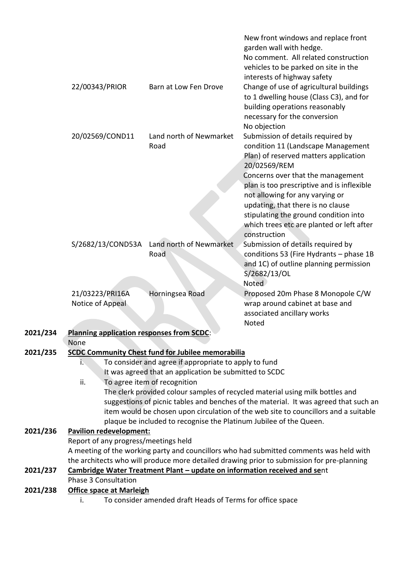|          |                                                  |                                                                                                                   | New front windows and replace front<br>garden wall with hedge.<br>No comment. All related construction<br>vehicles to be parked on site in the<br>interests of highway safety                                            |
|----------|--------------------------------------------------|-------------------------------------------------------------------------------------------------------------------|--------------------------------------------------------------------------------------------------------------------------------------------------------------------------------------------------------------------------|
|          | 22/00343/PRIOR                                   | Barn at Low Fen Drove                                                                                             | Change of use of agricultural buildings<br>to 1 dwelling house (Class C3), and for<br>building operations reasonably<br>necessary for the conversion<br>No objection                                                     |
|          | 20/02569/COND11                                  | Land north of Newmarket<br>Road                                                                                   | Submission of details required by<br>condition 11 (Landscape Management<br>Plan) of reserved matters application<br>20/02569/REM<br>Concerns over that the management                                                    |
|          |                                                  |                                                                                                                   | plan is too prescriptive and is inflexible<br>not allowing for any varying or<br>updating, that there is no clause<br>stipulating the ground condition into<br>which trees etc are planted or left after<br>construction |
|          | S/2682/13/COND53A                                | Land north of Newmarket<br>Road                                                                                   | Submission of details required by<br>conditions 53 (Fire Hydrants - phase 1B<br>and 1C) of outline planning permission<br>S/2682/13/OL<br>Noted                                                                          |
|          | 21/03223/PRI16A<br>Notice of Appeal              | Horningsea Road                                                                                                   | Proposed 20m Phase 8 Monopole C/W<br>wrap around cabinet at base and<br>associated ancillary works<br>Noted                                                                                                              |
| 2021/234 | <b>Planning application responses from SCDC:</b> |                                                                                                                   |                                                                                                                                                                                                                          |
|          | None                                             |                                                                                                                   |                                                                                                                                                                                                                          |
| 2021/235 | Ŀ.                                               | <b>SCDC Community Chest fund for Jubilee memorabilia</b><br>To consider and agree if appropriate to apply to fund |                                                                                                                                                                                                                          |
|          |                                                  | It was agreed that an application be submitted to SCDC                                                            |                                                                                                                                                                                                                          |
|          | ii.                                              | To agree item of recognition                                                                                      |                                                                                                                                                                                                                          |
|          |                                                  |                                                                                                                   | The clerk provided colour samples of recycled material using milk bottles and                                                                                                                                            |
|          |                                                  |                                                                                                                   | suggestions of picnic tables and benches of the material. It was agreed that such an<br>item would be chosen upon circulation of the web site to councillors and a suitable                                              |
|          |                                                  | plaque be included to recognise the Platinum Jubilee of the Queen.                                                |                                                                                                                                                                                                                          |
| 2021/236 | <b>Pavilion redevelopment:</b>                   |                                                                                                                   |                                                                                                                                                                                                                          |
|          | Report of any progress/meetings held             |                                                                                                                   |                                                                                                                                                                                                                          |
|          |                                                  |                                                                                                                   | A meeting of the working party and councillors who had submitted comments was held with                                                                                                                                  |
|          |                                                  |                                                                                                                   | the architects who will produce more detailed drawing prior to submission for pre-planning                                                                                                                               |
| 2021/237 | <b>Phase 3 Consultation</b>                      | Cambridge Water Treatment Plant - update on information received and sent                                         |                                                                                                                                                                                                                          |
| 2021/238 | <b>Office space at Marleigh</b>                  |                                                                                                                   |                                                                                                                                                                                                                          |
|          | i.                                               | To consider amended draft Heads of Terms for office space                                                         |                                                                                                                                                                                                                          |
|          |                                                  |                                                                                                                   |                                                                                                                                                                                                                          |